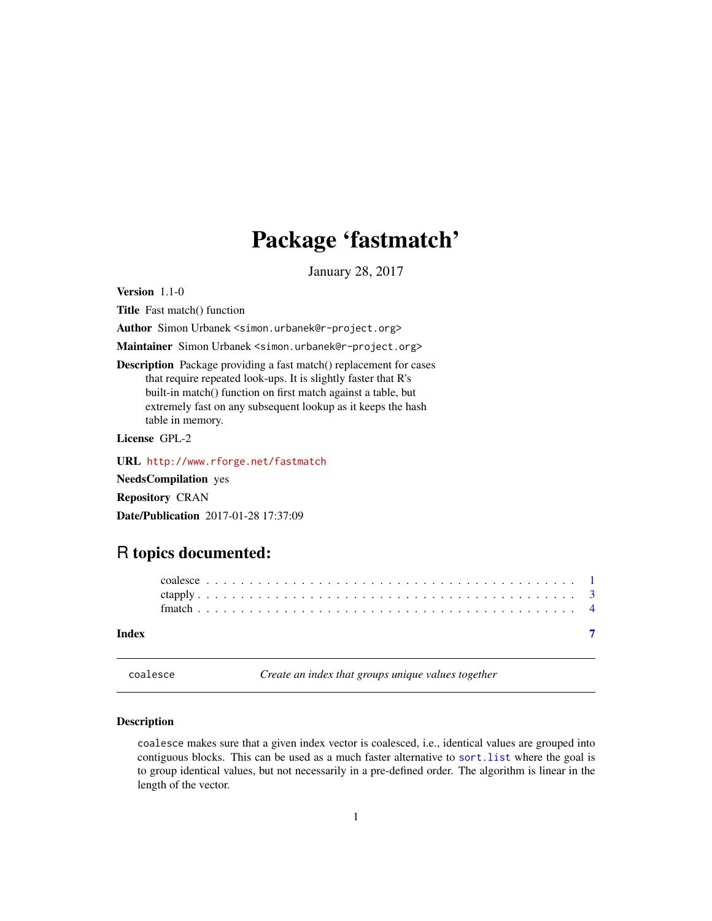## <span id="page-0-0"></span>Package 'fastmatch'

January 28, 2017

<span id="page-0-1"></span>Version 1.1-0

Title Fast match() function

Author Simon Urbanek <simon.urbanek@r-project.org>

Maintainer Simon Urbanek <simon.urbanek@r-project.org>

Description Package providing a fast match() replacement for cases that require repeated look-ups. It is slightly faster that R's built-in match() function on first match against a table, but extremely fast on any subsequent lookup as it keeps the hash table in memory.

License GPL-2

URL <http://www.rforge.net/fastmatch>

NeedsCompilation yes

Repository CRAN

Date/Publication 2017-01-28 17:37:09

### R topics documented:

coalesce *Create an index that groups unique values together*

#### Description

coalesce makes sure that a given index vector is coalesced, i.e., identical values are grouped into contiguous blocks. This can be used as a much faster alternative to sort.list where the goal is to group identical values, but not necessarily in a pre-defined order. The algorithm is linear in the length of the vector.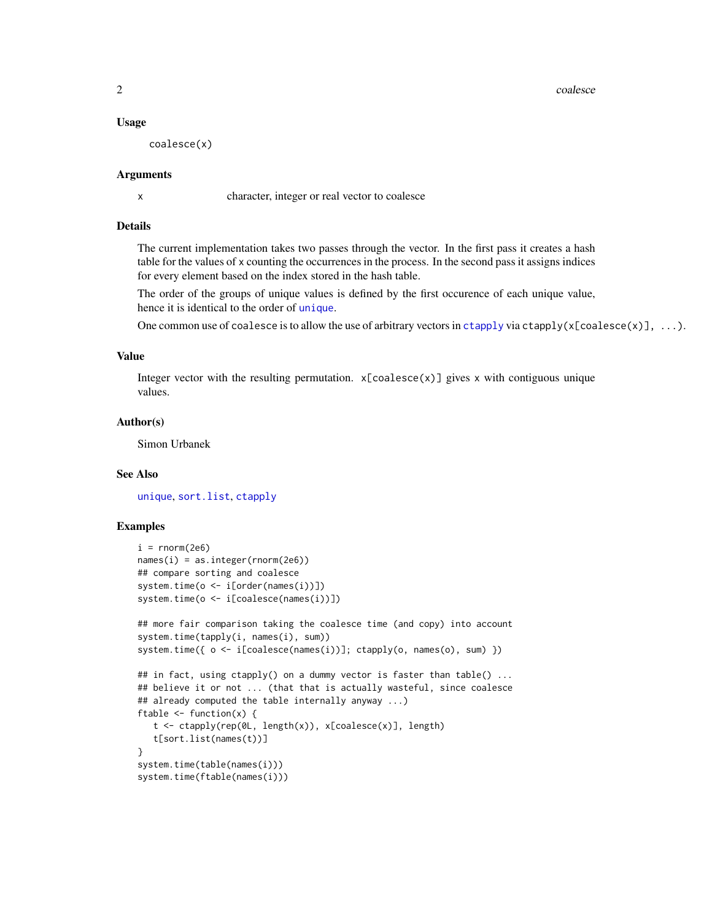2 coalesce contract to the contract of the contract of the contract of the contract of the contract of the contract of the contract of the contract of the contract of the contract of the contract of the contract of the con

#### Usage

coalesce(x)

#### Arguments

x character, integer or real vector to coalesce

#### Details

The current implementation takes two passes through the vector. In the first pass it creates a hash table for the values of x counting the occurrences in the process. In the second pass it assigns indices for every element based on the index stored in the hash table.

The order of the groups of unique values is defined by the first occurence of each unique value, hence it is identical to the order of [unique](#page-0-1).

One common use of coalesce is to allow the use of arbitrary vectors in [ctapply](#page-2-1) via ctapply( $x$ [coalesce( $x$ )], ...).

#### Value

Integer vector with the resulting permutation.  $x[coalesce(x)]$  gives x with contiguous unique values.

#### Author(s)

Simon Urbanek

#### See Also

[unique](#page-0-1), [sort.list](#page-0-1), [ctapply](#page-2-1)

#### Examples

```
i = rnorm(2e6)names(i) = as.integer(rnorm(2e6))
## compare sorting and coalesce
system.time(o <- i[order(names(i))])
system.time(o <- i[coalesce(names(i))])
## more fair comparison taking the coalesce time (and copy) into account
system.time(tapply(i, names(i), sum))
system.time({ o <- i[coalesce(names(i))]; ctapply(o, names(o), sum) })
## in fact, using ctapply() on a dummy vector is faster than table() \dots## believe it or not ... (that that is actually wasteful, since coalesce
## already computed the table internally anyway ...)
ftable \leq function(x) {
  t <- ctapply(rep(0L, length(x)), x[coalesce(x)], length)
  t[sort.list(names(t))]
}
system.time(table(names(i)))
system.time(ftable(names(i)))
```
<span id="page-1-0"></span>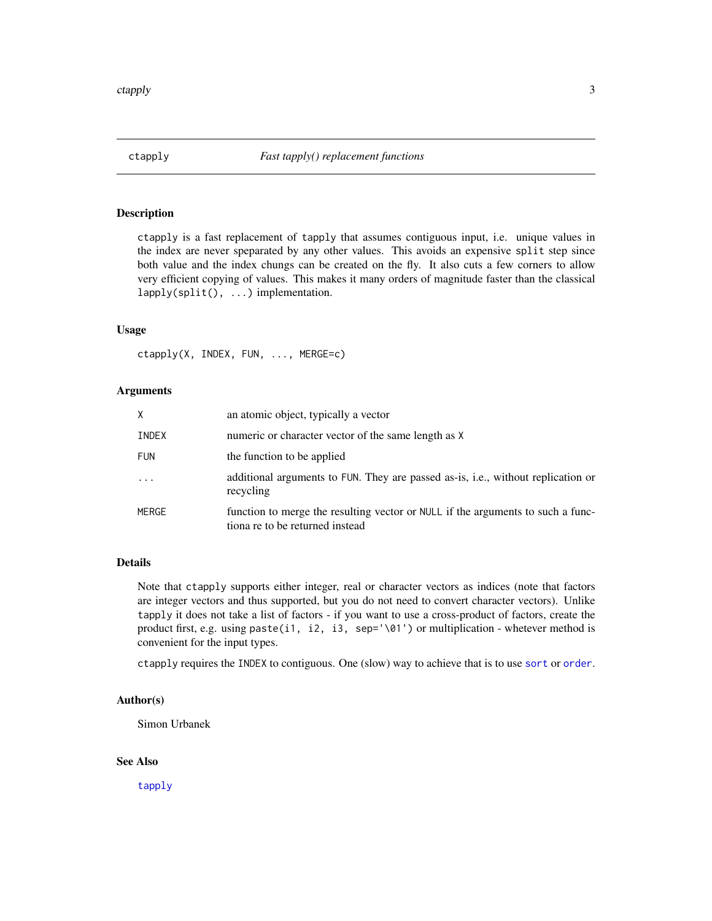<span id="page-2-1"></span><span id="page-2-0"></span>

#### Description

ctapply is a fast replacement of tapply that assumes contiguous input, i.e. unique values in the index are never speparated by any other values. This avoids an expensive split step since both value and the index chungs can be created on the fly. It also cuts a few corners to allow very efficient copying of values. This makes it many orders of magnitude faster than the classical lapply(split(), ...) implementation.

#### Usage

ctapply(X, INDEX, FUN, ..., MERGE=c)

#### Arguments

| Χ          | an atomic object, typically a vector                                                                               |
|------------|--------------------------------------------------------------------------------------------------------------------|
| INDEX      | numeric or character vector of the same length as X                                                                |
| <b>FUN</b> | the function to be applied                                                                                         |
| $\cdots$   | additional arguments to FUN. They are passed as-is, i.e., without replication or<br>recycling                      |
| MERGE      | function to merge the resulting vector or NULL if the arguments to such a func-<br>tiona re to be returned instead |

#### Details

Note that ctapply supports either integer, real or character vectors as indices (note that factors are integer vectors and thus supported, but you do not need to convert character vectors). Unlike tapply it does not take a list of factors - if you want to use a cross-product of factors, create the product first, e.g. using paste(i1, i2, i3, sep='\01') or multiplication - whetever method is convenient for the input types.

ctapply requires the INDEX to contiguous. One (slow) way to achieve that is to use [sort](#page-0-1) or [order](#page-0-1).

#### Author(s)

Simon Urbanek

#### See Also

[tapply](#page-0-1)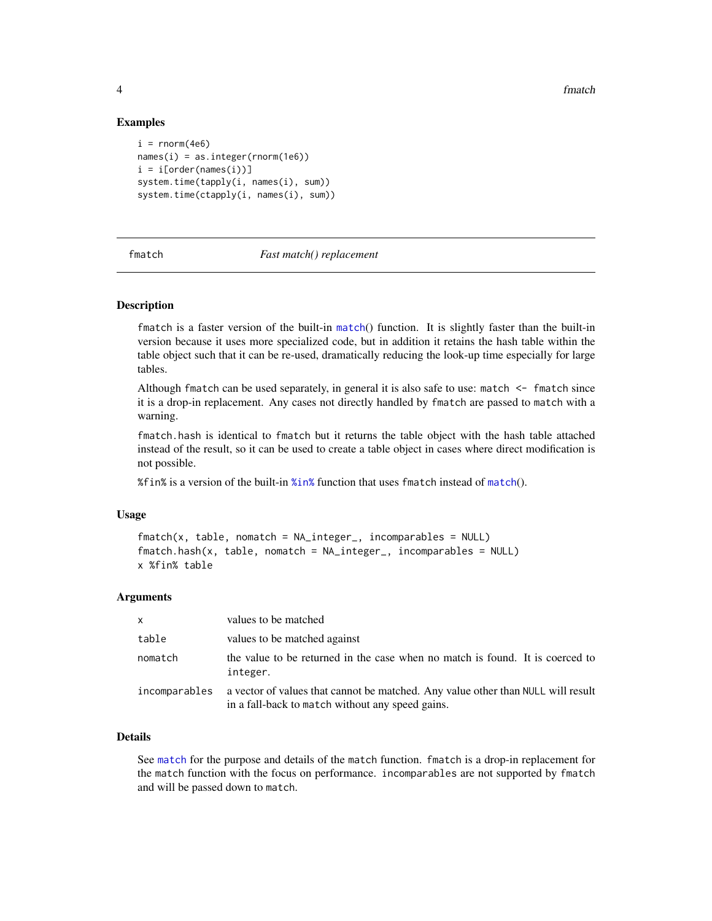#### Examples

```
i = \text{rnorm}(4e6)names(i) = as.integer(rnorm(1e6))i = i[order(name(i))]system.time(tapply(i, names(i), sum))
system.time(ctapply(i, names(i), sum))
```
#### fmatch *Fast match() replacement*

#### Description

fmatch is a faster version of the built-in [match](#page-0-1)() function. It is slightly faster than the built-in version because it uses more specialized code, but in addition it retains the hash table within the table object such that it can be re-used, dramatically reducing the look-up time especially for large tables.

Although fmatch can be used separately, in general it is also safe to use: match <- fmatch since it is a drop-in replacement. Any cases not directly handled by fmatch are passed to match with a warning.

fmatch.hash is identical to fmatch but it returns the table object with the hash table attached instead of the result, so it can be used to create a table object in cases where direct modification is not possible.

 $%$  fin% is a version of the built-in  $%$ in% function that uses f[match](#page-0-1) instead of match().

#### Usage

```
fmatch(x, table, nomatch = NA_integer_, incomparables = NULL)
fmatch.hash(x, table, nomatch = NA_integer_, incomparables = NULL)
x %fin% table
```
#### Arguments

| $\mathsf{x}$  | values to be matched                                                                                                                 |
|---------------|--------------------------------------------------------------------------------------------------------------------------------------|
| table         | values to be matched against                                                                                                         |
| nomatch       | the value to be returned in the case when no match is found. It is coerced to<br>integer.                                            |
| incomparables | a vector of values that cannot be matched. Any value other than NULL will result<br>in a fall-back to match without any speed gains. |

#### Details

See [match](#page-0-1) for the purpose and details of the match function. fmatch is a drop-in replacement for the match function with the focus on performance. incomparables are not supported by fmatch and will be passed down to match.

<span id="page-3-0"></span>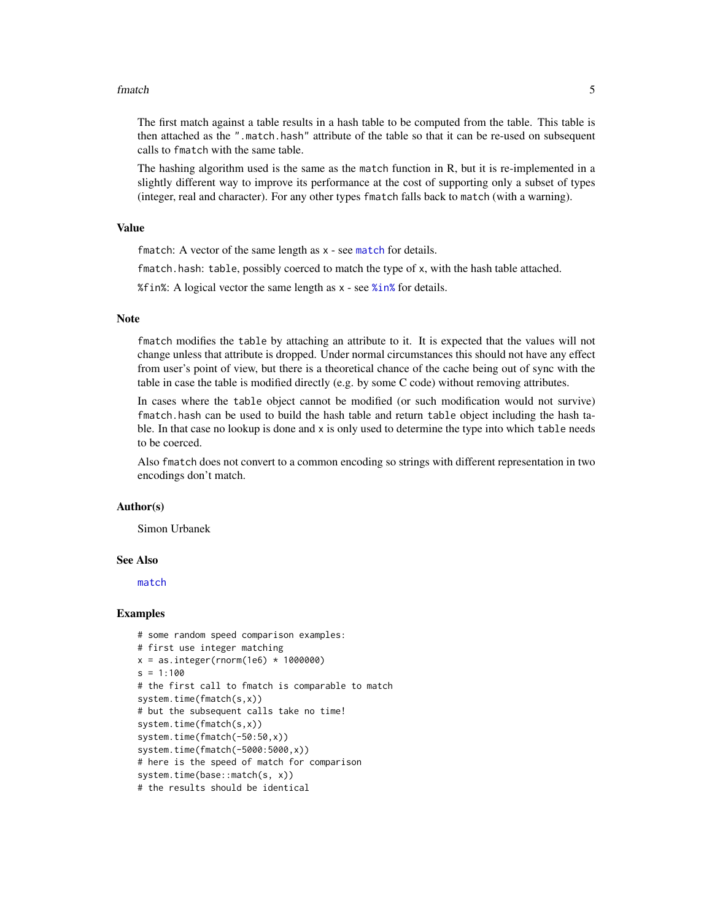#### <span id="page-4-0"></span>fmatch 5

The first match against a table results in a hash table to be computed from the table. This table is then attached as the ".match.hash" attribute of the table so that it can be re-used on subsequent calls to fmatch with the same table.

The hashing algorithm used is the same as the match function in R, but it is re-implemented in a slightly different way to improve its performance at the cost of supporting only a subset of types (integer, real and character). For any other types fmatch falls back to match (with a warning).

#### Value

f[match](#page-0-1): A vector of the same length as x - see match for details.

fmatch.hash: table, possibly coerced to match the type of x, with the hash table attached.

%fin%: A logical vector the same length as x - see [%in%](#page-0-1) for details.

#### **Note**

fmatch modifies the table by attaching an attribute to it. It is expected that the values will not change unless that attribute is dropped. Under normal circumstances this should not have any effect from user's point of view, but there is a theoretical chance of the cache being out of sync with the table in case the table is modified directly (e.g. by some C code) without removing attributes.

In cases where the table object cannot be modified (or such modification would not survive) fmatch.hash can be used to build the hash table and return table object including the hash table. In that case no lookup is done and x is only used to determine the type into which table needs to be coerced.

Also fmatch does not convert to a common encoding so strings with different representation in two encodings don't match.

#### Author(s)

Simon Urbanek

#### See Also

[match](#page-0-1)

#### Examples

```
# some random speed comparison examples:
# first use integer matching
x = as.integer(rnorm(1e6) * 1000000)s = 1:100# the first call to fmatch is comparable to match
system.time(fmatch(s,x))
# but the subsequent calls take no time!
system.time(fmatch(s,x))
system.time(fmatch(-50:50,x))
system.time(fmatch(-5000:5000,x))
# here is the speed of match for comparison
system.time(base::match(s, x))
# the results should be identical
```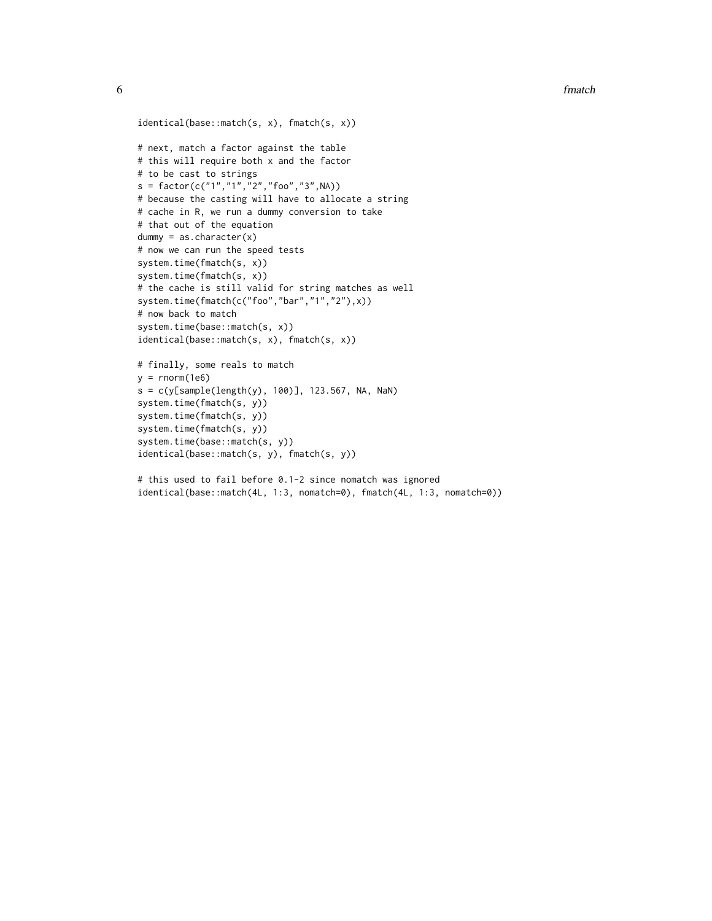```
identical(base::match(s, x), fmatch(s, x))
# next, match a factor against the table
# this will require both x and the factor
# to be cast to strings
s = factor(c("1", "1", "2", "foo", "3", NA))# because the casting will have to allocate a string
# cache in R, we run a dummy conversion to take
# that out of the equation
dummy = as.character(x)
# now we can run the speed tests
system.time(fmatch(s, x))
system.time(fmatch(s, x))
# the cache is still valid for string matches as well
system.time(fmatch(c("foo","bar","1","2"),x))
# now back to match
system.time(base::match(s, x))
identical(base::match(s, x), fmatch(s, x))
# finally, some reals to match
y = rnorm(1e6)s = c(y[sample(length(y), 100)], 123.567, NA, Nah)system.time(fmatch(s, y))
system.time(fmatch(s, y))
system.time(fmatch(s, y))
```

```
system.time(base::match(s, y))
identical(base::match(s, y), fmatch(s, y))
```

```
# this used to fail before 0.1-2 since nomatch was ignored
identical(base::match(4L, 1:3, nomatch=0), fmatch(4L, 1:3, nomatch=0))
```